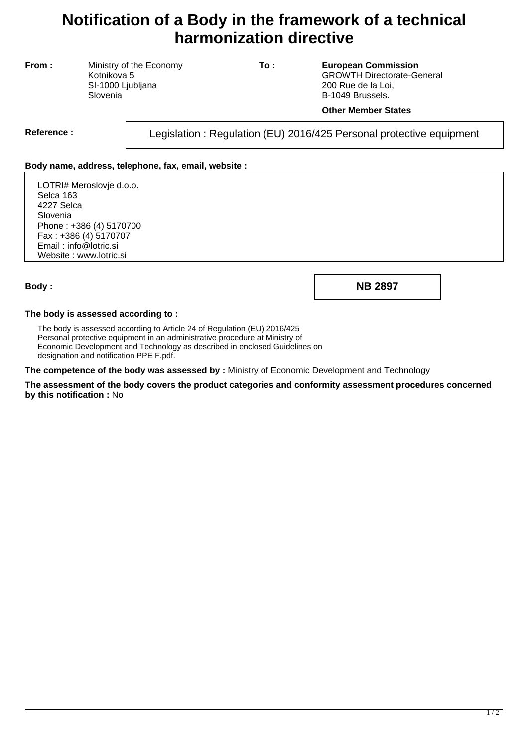# **Notification of a Body in the framework of a technical harmonization directive**

**From :** Ministry of the Economy Kotnikova 5 SI-1000 Ljubljana Slovenia

**To : European Commission** GROWTH Directorate-General 200 Rue de la Loi, B-1049 Brussels.

#### **Other Member States**

Reference : Legislation : Regulation (EU) 2016/425 Personal protective equipment

### **Body name, address, telephone, fax, email, website :**

LOTRI# Meroslovje d.o.o. Selca 163 4227 Selca Slovenia Phone : +386 (4) 5170700 Fax : +386 (4) 5170707 Email : info@lotric.si Website : www.lotric.si

**Body : NB 2897**

#### **The body is assessed according to :**

The body is assessed according to Article 24 of Regulation (EU) 2016/425 Personal protective equipment in an administrative procedure at Ministry of Economic Development and Technology as described in enclosed Guidelines on designation and notification PPE F.pdf.

**The competence of the body was assessed by :** Ministry of Economic Development and Technology

**The assessment of the body covers the product categories and conformity assessment procedures concerned by this notification :** No